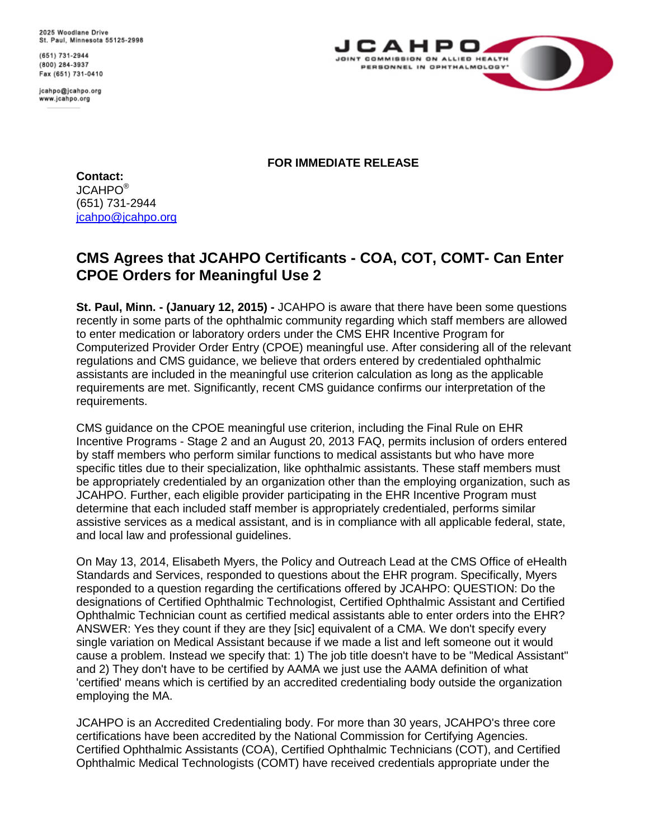2025 Woodlane Drive St. Paul, Minnesota 55125-2998

(651) 731-2944 (800) 284-3937 Fax (651) 731-0410

jcahpo@jcahpo.org www.jcahpo.org



**FOR IMMEDIATE RELEASE**

**Contact:** JCAHPO® (651) 731-2944 [jcahpo@jcahpo.org](mailto:jcahpo@jcahpo.org)

## **CMS Agrees that JCAHPO Certificants - COA, COT, COMT- Can Enter CPOE Orders for Meaningful Use 2**

**St. Paul, Minn. - (January 12, 2015) -** JCAHPO is aware that there have been some questions recently in some parts of the ophthalmic community regarding which staff members are allowed to enter medication or laboratory orders under the CMS EHR Incentive Program for Computerized Provider Order Entry (CPOE) meaningful use. After considering all of the relevant regulations and CMS guidance, we believe that orders entered by credentialed ophthalmic assistants are included in the meaningful use criterion calculation as long as the applicable requirements are met. Significantly, recent CMS guidance confirms our interpretation of the requirements.

CMS guidance on the CPOE meaningful use criterion, including the Final Rule on EHR Incentive Programs - Stage 2 and an August 20, 2013 FAQ, permits inclusion of orders entered by staff members who perform similar functions to medical assistants but who have more specific titles due to their specialization, like ophthalmic assistants. These staff members must be appropriately credentialed by an organization other than the employing organization, such as JCAHPO. Further, each eligible provider participating in the EHR Incentive Program must determine that each included staff member is appropriately credentialed, performs similar assistive services as a medical assistant, and is in compliance with all applicable federal, state, and local law and professional guidelines.

On May 13, 2014, Elisabeth Myers, the Policy and Outreach Lead at the CMS Office of eHealth Standards and Services, responded to questions about the EHR program. Specifically, Myers responded to a question regarding the certifications offered by JCAHPO: QUESTION: Do the designations of Certified Ophthalmic Technologist, Certified Ophthalmic Assistant and Certified Ophthalmic Technician count as certified medical assistants able to enter orders into the EHR? ANSWER: Yes they count if they are they [sic] equivalent of a CMA. We don't specify every single variation on Medical Assistant because if we made a list and left someone out it would cause a problem. Instead we specify that: 1) The job title doesn't have to be "Medical Assistant" and 2) They don't have to be certified by AAMA we just use the AAMA definition of what 'certified' means which is certified by an accredited credentialing body outside the organization employing the MA.

JCAHPO is an Accredited Credentialing body. For more than 30 years, JCAHPO's three core certifications have been accredited by the National Commission for Certifying Agencies. Certified Ophthalmic Assistants (COA), Certified Ophthalmic Technicians (COT), and Certified Ophthalmic Medical Technologists (COMT) have received credentials appropriate under the